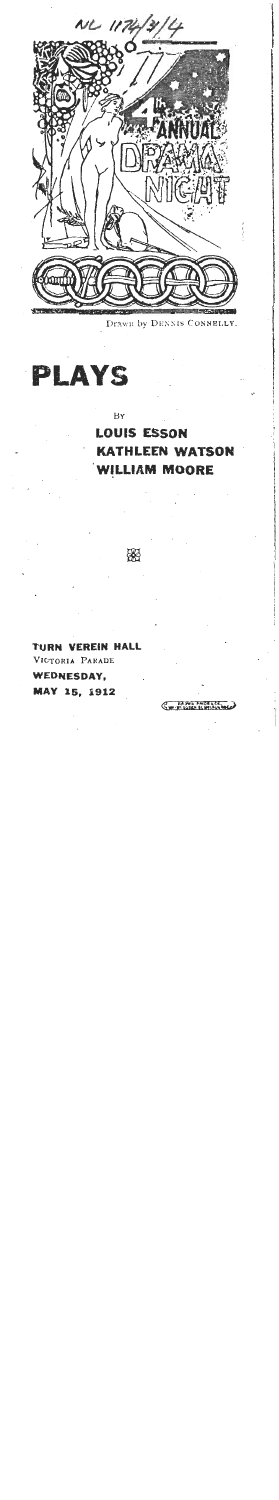

Drawn by DENNIS CONNELLY.



ВY

器

**LOUIS ESSON KATHLEEN WATSON WILLIAM MOORE** 

**RN VEREIN HALL** VICTORIA PARADE **WEDNESDAY,** MAY 15, 1912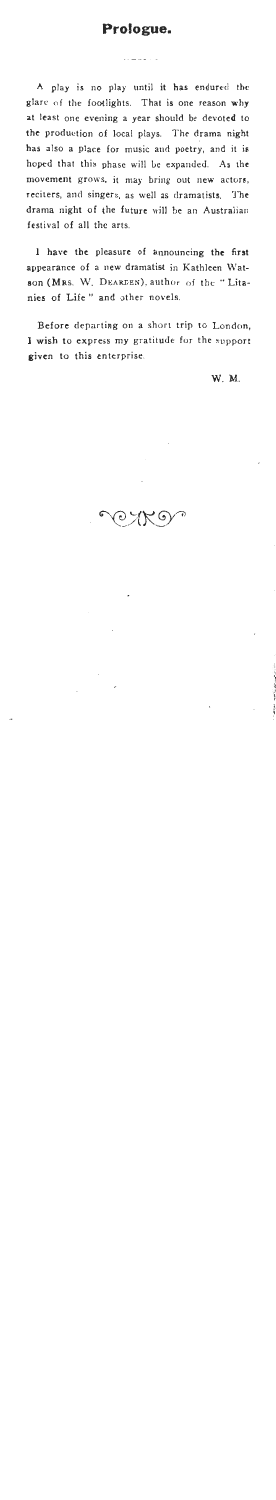# **Prologue.**

**A** play is no play until it has endured the glarc **nf** the footlights. That is one reason why at least one evening a year should be devoted to the production of local plays. The drama night has also a place for music and poetry, and it is hop4 that this phase will Le expanded. **As** the movement grows. it may bring out new actors, reciters, and singers, as well as dramatists. **'J'ht**  drama night of (he future will be an Austraiian festival of all the arts.

1 have the pleasure of announcing the first appearance of a new dramatist in Kathleen Watson **(MRS.** W. **DEARDEN),** author of the " Litanies of Life" and other novels.

Before departing on a short trip to London, I wish to express **my** gratitude for the support given to this enterprise.

W.M.

 $\odot \searrow$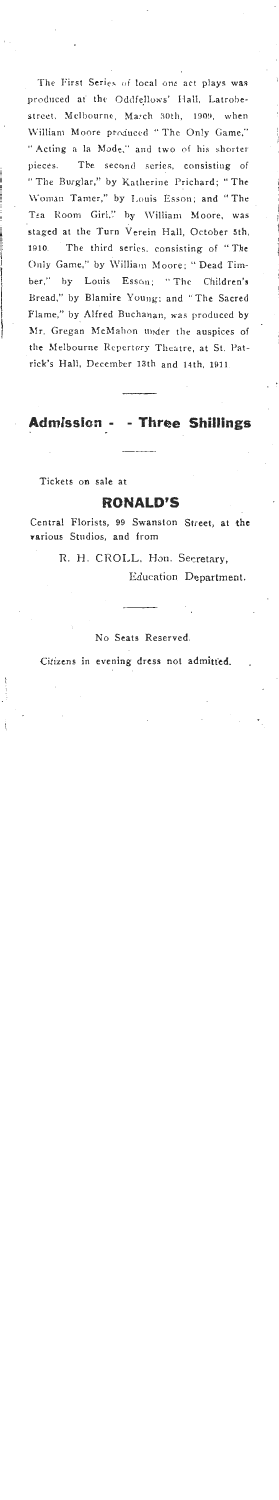The First Series of local one act plays was produced at the Oddfellows' Hall, Latrobestreet. Melbournc, March 30th, 1909, when \Villiam Moore produccd " Thc On!y Game." " Acting **n** la Mode." and two **of** his shorter pieces. The second scries, consistiug of " The Burglar," by Katherine Prichard; "The \Voman Tan~er," by I.ouis Esson; and "The Tea Room Girl," by William Moore, was staged at the Turn Verein Hall, October 5th, 1910. The third serics, consisting of " Thc Only Game," by William Moore: "Dead Timber," by Louis Esson; "The Children's Bread," by Blaniire Young: and "The Sacred Flame," by Alfred Buchanan, was produced by Mr. Gregan McMahon under the auspices of the Melbourne Repertory Theatre, at St. Patrick's Hall, December 13th and 14th, 1911.

**Admissba** - - **Three Shillings** 

Tickets on sale at

### **RONALD'S**

Central Florists, **99** Swanston Street, at **the**  various Studios, and from

R. H. CROLL, Hon. Secretary,

Education Department.

No Seats Reserved.

Citizens in evening dress not admitted.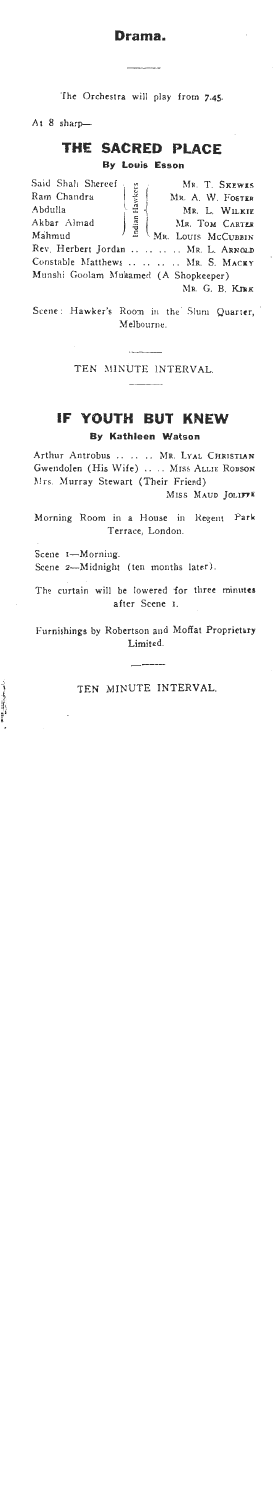## **Drama.**

'The Orchestra will play from **7.45** 

At 8 sharp-

# **THE SACRED PLACE**

**By Louis Esson** 

| Said Shah Shereef                                           | MR. T. SKEWES      |
|-------------------------------------------------------------|--------------------|
| Hawkers<br>Ram Chandra                                      | MR. A. W. FOSTER   |
| Abdulla                                                     | MR. L. WILKIE      |
| $\begin{array}{c} \hbox{Indian} \end{array}$<br>Akbar Almad | MR. TOM CARTER     |
| Mahmud                                                      | MR. LOUIS MCCUBBIN |
| Rev. Herbert Jordan  MR. L. ARNOLD                          |                    |
| Constable Matthews     MR. S. MACKY                         |                    |
| Munshi Goolam Muhamed (A Shopkeeper)                        |                    |
|                                                             | MR. G. B. KIRK     |

Scene: Hawker's Room in the Slum Quarter, Melbourne.

TEN MINUTE **INTERVAL** 

# **IF YOUTH BUT KNEW**

**By Kathleen Watson** 

Arthur Antrobus . . . . . . **MR. LYAL** CHRISTIAN Gwendolen (His Wife) .. .. MISS ALLIE ROBSON **Nrs.** Murray Stewart (Their Friend)

**MISS MAUD JOLIFFE** 

Morning Room in a House in Regent Park Terrace, London.

Scene I-Morning. Scene 2-Midnight (ten months later).

The curtain will be lowered for three minutes after Scene I.

Furnishings by Robertson and Moffat Proprictary Limited.

#### TEN MINUTE INTERVAL.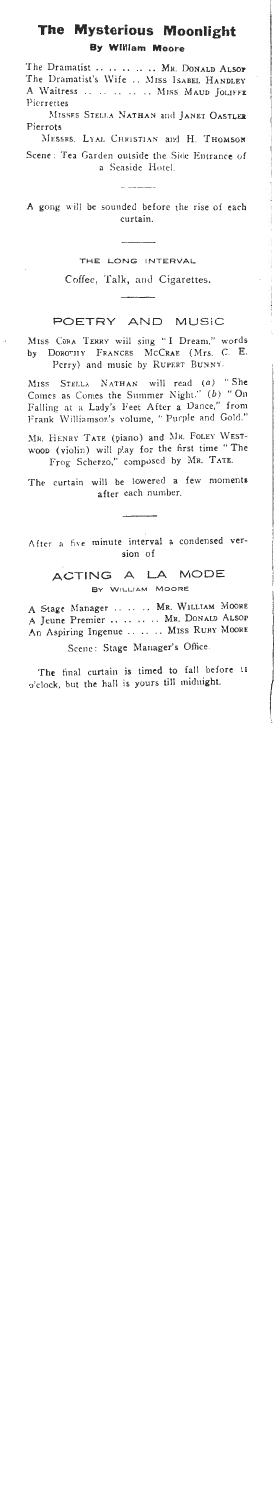# The Mysterious Moonlight **By William Moore**

The Dramatist .. .. .. .. MR. DONALD ALSOP The Dramatist's Wife .. MISS ISABEL HANDLEY A Waitress .. .. .. .. .. MISS MAUD JOLIFFE Pierrettes MISSES STELLA NATHAN and JANET OASTLER Pierrots MESSRS. LYAL CHRISTIAN and H. THOMSON

Scene: Tea Garden outside the Side Entrance of a Seaside Hotel.

compared by the company of the

A gong will be sounded before the rise of each curtain.

THE LONG INTERVAL

Coffee, Talk, and Cigarettes.

#### POETRY AND MUSIC

MISS CORA TERRY will sing "I Dream." words by DOROTHY FRANCES MCCRAE (Mrs. C. E. Perry) and music by RUPERT BUNNY.

MISS STELLA NATHAN will read (a) "She Comes as Comes the Summer Night." (b) "On Falling at a Lady's Feet After a Dance," from Frank Williamson's volume, " Purple and Gold."

MR. HENRY TATE (piano) and MR. FOLEY WESTwoon (violin) will play for the first time "The Frog Scherzo," composed by MR. TATE.

The curtain will be lowered a few moments after each number.

After a five minute interval a condensed version of

## ACTING A LA MODE BY WILLIAM MOORE

A Stage Manager .. .. .. MR. WILLIAM MOORE A Jeune Premier .. .. .. .. MR. DONALD ALSOP An Aspiring Ingenue .. .. .. MISS RUBY MOORE

Scene: Stage Manager's Office.

The final curtain is timed to fall before 11 o'clock, but the hall is yours till midnight.